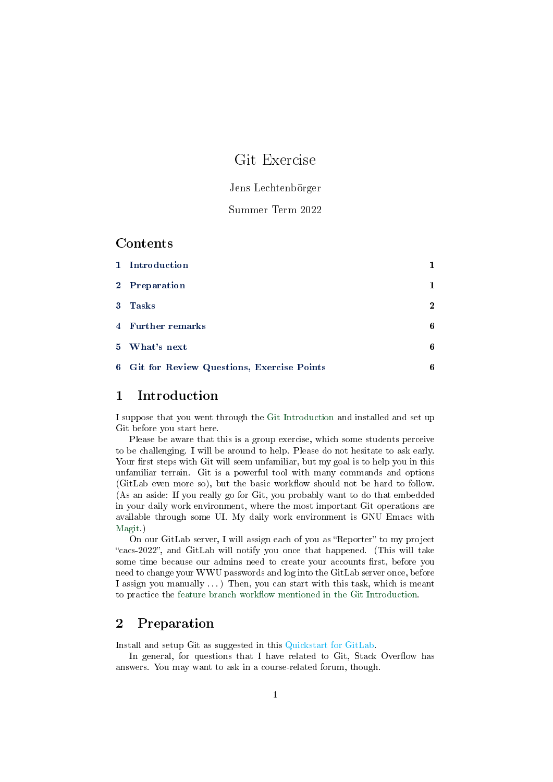# Git Exercise

### Jens Lechtenbörger

#### Summer Term 2022

### Contents

| 1 Introduction                              |              |
|---------------------------------------------|--------------|
| 2 Preparation                               | 1            |
| 3 Tasks                                     | $\mathbf{2}$ |
| 4 Further remarks                           | 6            |
| 5 What's next                               | 6            |
| 6 Git for Review Questions, Exercise Points | 6            |

## <span id="page-0-0"></span>1 Introduction

I suppose that you went through the [Git Introduction](../Git-Introduction.org) and installed and set up Git before you start here.

Please be aware that this is a group exercise, which some students perceive to be challenging. I will be around to help. Please do not hesitate to ask early. Your first steps with Git will seem unfamiliar, but my goal is to help you in this unfamiliar terrain. Git is a powerful tool with many commands and options (GitLab even more so), but the basic workflow should not be hard to follow. (As an aside: If you really go for Git, you probably want to do that embedded in your daily work environment, where the most important Git operations are available through some UI. My daily work environment is GNU Emacs with [Magit.](https://magit.vc/))

On our GitLab server, I will assign each of you as "Reporter" to my project "cacs-2022", and GitLab will notify you once that happened. (This will take some time because our admins need to create your accounts first, before you need to change your WWU passwords and log into the GitLab server once, before I assign you manually . . . ) Then, you can start with this task, which is meant to practice the feature branch workflow mentioned in the Git Introduction.

### <span id="page-0-1"></span>2 Preparation

Install and setup Git as suggested in this Quickstart for GitLab.

In general, for questions that I have related to  $\operatorname{Git}$ , Stack Overflow has answers. You may want to ask in a course-related forum, though.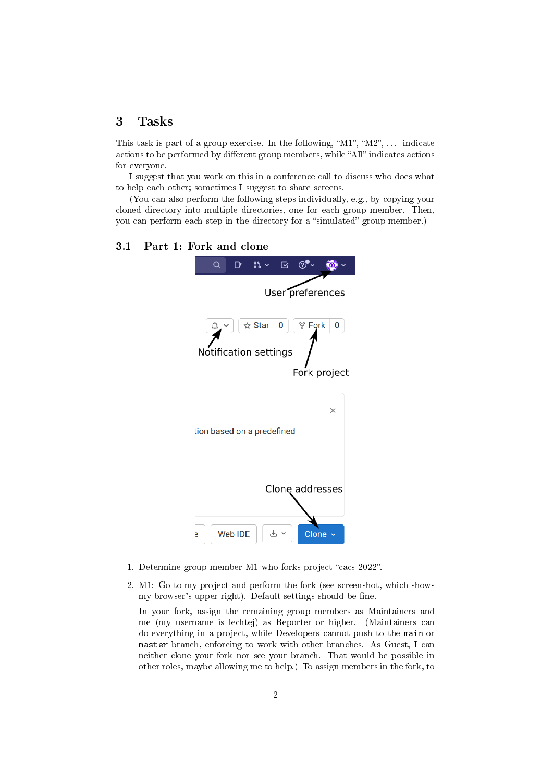### <span id="page-1-0"></span>3 Tasks

This task is part of a group exercise. In the following, " $M1$ ", " $M2$ ", ... indicate actions to be performed by different group members, while "All" indicates actions for everyone.

I suggest that you work on this in a conference call to discuss who does what to help each other; sometimes I suggest to share screens.

(You can also perform the following steps individually, e.g., by copying your cloned directory into multiple directories, one for each group member. Then, you can perform each step in the directory for a "simulated" group member.)

#### 3.1 Part 1: Fork and clone



- 1. Determine group member M1 who forks project "cacs-2022".
- 2. M1: Go to my project and perform the fork (see screenshot, which shows my browser's upper right). Default settings should be fine.

In your fork, assign the remaining group members as Maintainers and me (my username is lechtej) as Reporter or higher. (Maintainers can do everything in a project, while Developers cannot push to the main or master branch, enforcing to work with other branches. As Guest, I can neither clone your fork nor see your branch. That would be possible in other roles, maybe allowing me to help.) To assign members in the fork, to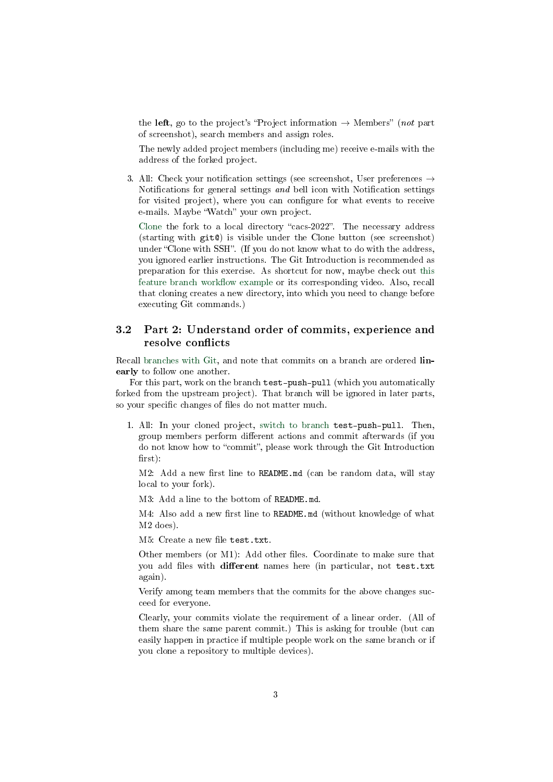the left, go to the project's "Project information  $\rightarrow$  Members" (not part of screenshot), search members and assign roles.

The newly added project members (including me) receive e-mails with the address of the forked project.

3. All: Check your notification settings (see screenshot, User preferences  $\rightarrow$ Notifications for general settings and bell icon with Notification settings for visited project), where you can configure for what events to receive e-mails. Maybe "Watch" your own project.

[Clone](../Git-Introduction.html#slide-git-demo) the fork to a local directory "cacs-2022". The necessary address (starting with git@) is visible under the Clone button (see screenshot) under "Clone with SSH". (If you do not know what to do with the address, you ignored earlier instructions. The Git Introduction is recommended as preparation for this exercise. As shortcut for now, maybe check out [this](./Git-Examples.html#sec-gitlab-feature-branch) feature branch workflow example or its corresponding video. Also, recall that cloning creates a new directory, into which you need to change before executing Git commands.)

#### 3.2 Part 2: Understand order of commits, experience and resolve conflicts

Recall [branches with Git,](../Git-Introduction.html#slide-git-branches) and note that commits on a branch are ordered **lin**early to follow one another.

For this part, work on the branch test-push-pull (which you automatically forked from the upstream project). That branch will be ignored in later parts, so your specific changes of files do not matter much.

1. All: In your cloned project, [switch to branch](../Git-Introduction.html#slide-git-branching) test-push-pull. Then, group members perform different actions and commit afterwards (if you do not know how to "commit", please work through the Git Introduction  $first$ ):

 $M2$ : Add a new first line to README.md (can be random data, will stay local to your fork).

M3: Add a line to the bottom of README.md.

 $M4$ : Also add a new first line to  $README$ .md (without knowledge of what M2 does).

M5: Create a new file test.txt.

Other members (or M1): Add other files. Coordinate to make sure that you add files with different names here (in particular, not test.txt again).

Verify among team members that the commits for the above changes succeed for everyone.

Clearly, your commits violate the requirement of a linear order. (All of them share the same parent commit.) This is asking for trouble (but can easily happen in practice if multiple people work on the same branch or if you clone a repository to multiple devices).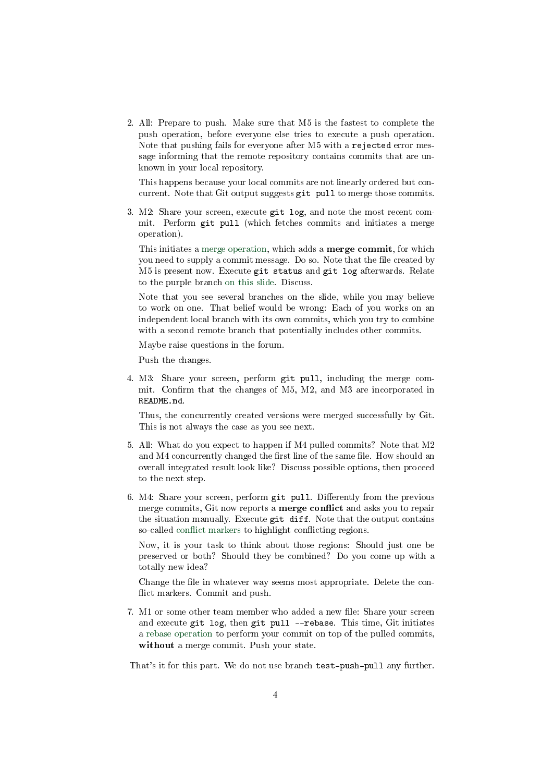2. All: Prepare to push. Make sure that M5 is the fastest to complete the push operation, before everyone else tries to execute a push operation. Note that pushing fails for everyone after M5 with a rejected error message informing that the remote repository contains commits that are unknown in your local repository.

This happens because your local commits are not linearly ordered but concurrent. Note that Git output suggests git pull to merge those commits.

3. M2: Share your screen, execute git log, and note the most recent commit. Perform git pull (which fetches commits and initiates a merge operation).

This initiates a [merge operation,](../Git-Introduction.html#slide-git-merge) which adds a merge commit, for which you need to supply a commit message. Do so. Note that the file created by M5 is present now. Execute git status and git log afterwards. Relate to the purple branch [on this slide.](../Git-Introduction.html#slide-git-branches) Discuss.

Note that you see several branches on the slide, while you may believe to work on one. That belief would be wrong: Each of you works on an independent local branch with its own commits, which you try to combine with a second remote branch that potentially includes other commits.

Maybe raise questions in the forum.

Push the changes.

4. M3: Share your screen, perform git pull, including the merge commit. Confirm that the changes of M5, M2, and M3 are incorporated in README.md.

Thus, the concurrently created versions were merged successfully by Git. This is not always the case as you see next.

- 5. All: What do you expect to happen if M4 pulled commits? Note that M2 and M4 concurrently changed the first line of the same file. How should an overall integrated result look like? Discuss possible options, then proceed to the next step.
- 6. M4: Share your screen, perform git pull. Differently from the previous merge commits, Git now reports a **merge conflict** and asks you to repair the situation manually. Execute git diff. Note that the output contains so-called conflict markers to highlight conflicting regions.

Now, it is your task to think about those regions: Should just one be preserved or both? Should they be combined? Do you come up with a totally new idea?

Change the file in whatever way seems most appropriate. Delete the conflict markers. Commit and push.

7. M1 or some other team member who added a new file: Share your screen and execute git log, then git pull --rebase. This time, Git initiates a [rebase operation](../Git-Introduction.html#slide-git-rebase) to perform your commit on top of the pulled commits, without a merge commit. Push your state.

That's it for this part. We do not use branch test-push-pull any further.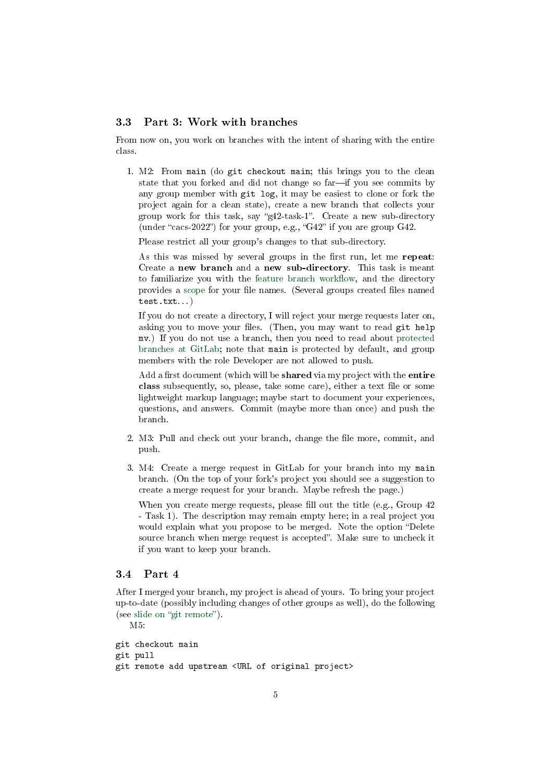#### 3.3 Part 3: Work with branches

From now on, you work on branches with the intent of sharing with the entire class.

1. M2: From main (do git checkout main; this brings you to the clean state that you forked and did not change so far-if you see commits by any group member with git log, it may be easiest to clone or fork the project again for a clean state), create a new branch that collects your group work for this task, say " $g42$ -task-1". Create a new sub-directory (under "cacs-2022") for your group, e.g., "G42" if you are group G42.

Please restrict all your group's changes to that sub-directory.

As this was missed by several groups in the first run, let me repeat: Create a new branch and a new sub-directory. This task is meant to familiarize you with the feature branch workflow, and the directory provides a [scope](https://en.wikipedia.org/wiki/Scope_(computer_science)) for your file names. (Several groups created files named test.txt. . . )

If you do not create a directory, I will reject your merge requests later on, asking you to move your files. (Then, you may want to read git help mv.) If you do not use a branch, then you need to read about [protected](https://docs.gitlab.com/ee/user/project/protected_branches.html) [branches at GitLab;](https://docs.gitlab.com/ee/user/project/protected_branches.html) note that main is protected by default, and group members with the role Developer are not allowed to push.

Add a first document (which will be **shared** via my project with the **entire** class subsequently, so, please, take some care), either a text file or some lightweight markup language; maybe start to document your experiences, questions, and answers. Commit (maybe more than once) and push the branch.

- 2. M3: Pull and check out your branch, change the file more, commit, and push.
- 3. M4: Create a merge request in GitLab for your branch into my main branch. (On the top of your fork's project you should see a suggestion to create a merge request for your branch. Maybe refresh the page.)

When you create merge requests, please fill out the title (e.g., Group  $42$ ) - Task 1). The description may remain empty here; in a real project you would explain what you propose to be merged. Note the option "Delete source branch when merge request is accepted". Make sure to uncheck it if you want to keep your branch.

#### 3.4 Part 4

After I merged your branch, my project is ahead of yours. To bring your project up-to-date (possibly including changes of other groups as well), do the following (see slide on "git remote").

M5:

```
git checkout main
git pull
git remote add upstream <URL of original project>
```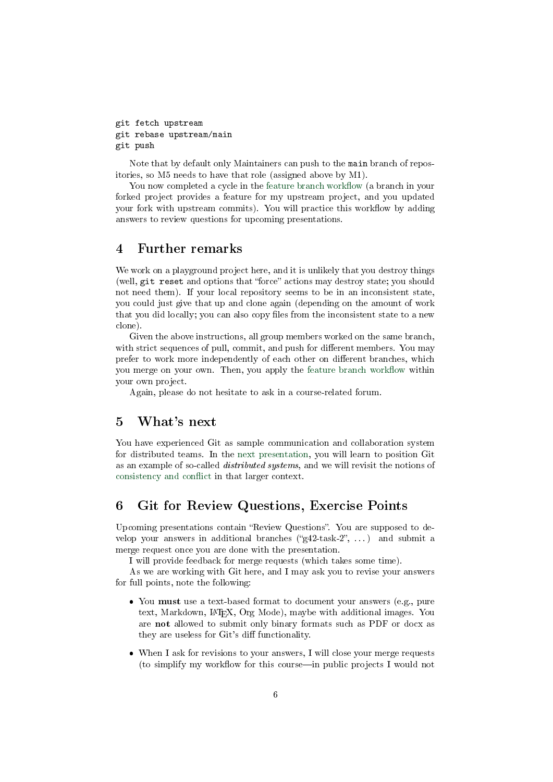```
git fetch upstream
git rebase upstream/main
git push
```
Note that by default only Maintainers can push to the main branch of repositories, so M5 needs to have that role (assigned above by M1).

You now completed a cycle in the feature branch workflow (a branch in your forked project provides a feature for my upstream project, and you updated your fork with upstream commits). You will practice this workflow by adding answers to review questions for upcoming presentations.

#### <span id="page-5-0"></span>4 Further remarks

We work on a playground project here, and it is unlikely that you destroy things (well, git reset and options that "force" actions may destroy state; you should not need them). If your local repository seems to be in an inconsistent state, you could just give that up and clone again (depending on the amount of work that you did locally; you can also copy files from the inconsistent state to a new clone).

Given the above instructions, all group members worked on the same branch, with strict sequences of pull, commit, and push for different members. You may prefer to work more independently of each other on different branches, which you merge on your own. Then, you apply the feature branch workflow within your own project.

Again, please do not hesitate to ask in a course-related forum.

## <span id="page-5-1"></span>5 What's next

You have experienced Git as sample communication and collaboration system for distributed teams. In the [next presentation,](../Distributed-Systems-Introduction.org) you will learn to position Git as an example of so-called distributed systems, and we will revisit the notions of consistency and conflict in that larger context.

#### <span id="page-5-2"></span>6 Git for Review Questions, Exercise Points

Upcoming presentations contain "Review Questions". You are supposed to develop your answers in additional branches (" $g42$ -task-2", ...) and submit a merge request once you are done with the presentation.

I will provide feedback for merge requests (which takes some time).

As we are working with Git here, and I may ask you to revise your answers for full points, note the following:

- You must use a text-based format to document your answers (e.g., pure text, Markdown, L<sup>A</sup>T<sub>E</sub>X, Org Mode), maybe with additional images. You are not allowed to submit only binary formats such as PDF or docx as they are useless for Git's diff functionality.
- When I ask for revisions to your answers, I will close your merge requests (to simplify my workflow for this course—in public projects I would not